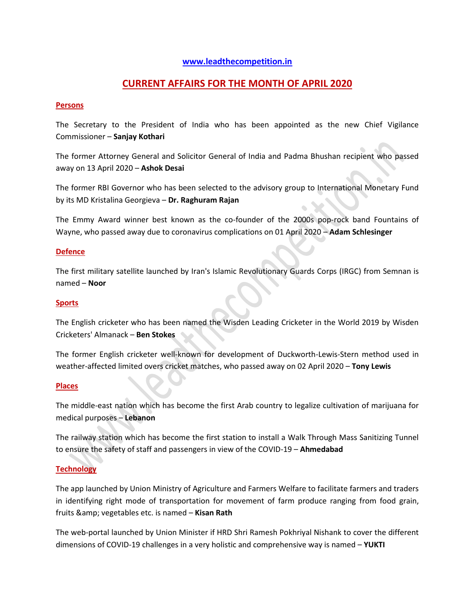## **[www.leadthecompetition.in](http://www.leadthecompetition.in/)**

# **CURRENT AFFAIRS FOR THE MONTH OF APRIL 2020**

### **Persons**

The Secretary to the President of India who has been appointed as the new Chief Vigilance Commissioner – **Sanjay Kothari**

The former Attorney General and Solicitor General of India and Padma Bhushan recipient who passed away on 13 April 2020 – **Ashok Desai**

The former RBI Governor who has been selected to the advisory group to International Monetary Fund by its MD Kristalina Georgieva – **Dr. Raghuram Rajan**

The Emmy Award winner best known as the co-founder of the 2000s pop-rock band Fountains of Wayne, who passed away due to coronavirus complications on 01 April 2020 – **Adam Schlesinger**

#### **Defence**

The first military satellite launched by Iran's Islamic Revolutionary Guards Corps (IRGC) from Semnan is named – **Noor**

#### **Sports**

The English cricketer who has been named the Wisden Leading Cricketer in the World 2019 by Wisden Cricketers' Almanack – **Ben Stokes**

The former English cricketer well-known for development of Duckworth-Lewis-Stern method used in weather-affected limited overs cricket matches, who passed away on 02 April 2020 – **Tony Lewis**

### **Places**

The middle-east nation which has become the first Arab country to legalize cultivation of marijuana for medical purposes – **Lebanon**

The railway station which has become the first station to install a Walk Through Mass Sanitizing Tunnel to ensure the safety of staff and passengers in view of the COVID-19 – **Ahmedabad**

### **Technology**

The app launched by Union Ministry of Agriculture and Farmers Welfare to facilitate farmers and traders in identifying right mode of transportation for movement of farm produce ranging from food grain, fruits & amp; vegetables etc. is named - Kisan Rath

The web-portal launched by Union Minister if HRD Shri Ramesh Pokhriyal Nishank to cover the different dimensions of COVID-19 challenges in a very holistic and comprehensive way is named – **YUKTI**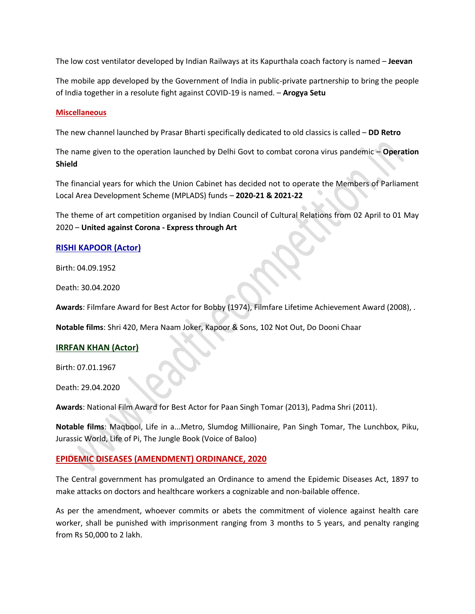The low cost ventilator developed by Indian Railways at its Kapurthala coach factory is named – **Jeevan**

The mobile app developed by the Government of India in public-private partnership to bring the people of India together in a resolute fight against COVID-19 is named. – **Arogya Setu**

#### **Miscellaneous**

The new channel launched by Prasar Bharti specifically dedicated to old classics is called – **DD Retro**

The name given to the operation launched by Delhi Govt to combat corona virus pandemic – **Operation Shield**

The financial years for which the Union Cabinet has decided not to operate the Members of Parliament Local Area Development Scheme (MPLADS) funds – **2020-21 & 2021-22**

The theme of art competition organised by Indian Council of Cultural Relations from 02 April to 01 May 2020 – **United against Corona - Express through Art** 

### **RISHI KAPOOR (Actor)**

Birth: 04.09.1952

Death: 30.04.2020

**Awards**: Filmfare Award for Best Actor for Bobby (1974), Filmfare Lifetime Achievement Award (2008), .

**Notable films**: Shri 420, Mera Naam Joker, Kapoor & Sons, 102 Not Out, Do Dooni Chaar

### **IRRFAN KHAN (Actor)**

Birth: 07.01.1967

Death: 29.04.2020

**Awards**: National Film Award for Best Actor for Paan Singh Tomar (2013), Padma Shri (2011).

**Notable films**: Maqbool, Life in a...Metro, Slumdog Millionaire, Pan Singh Tomar, The Lunchbox, Piku, Jurassic World, Life of Pi, The Jungle Book (Voice of Baloo)

### **EPIDEMIC DISEASES (AMENDMENT) ORDINANCE, 2020**

The Central government has promulgated an Ordinance to amend the Epidemic Diseases Act, 1897 to make attacks on doctors and healthcare workers a cognizable and non-bailable offence.

As per the amendment, whoever commits or abets the commitment of violence against health care worker, shall be punished with imprisonment ranging from 3 months to 5 years, and penalty ranging from Rs 50,000 to 2 lakh.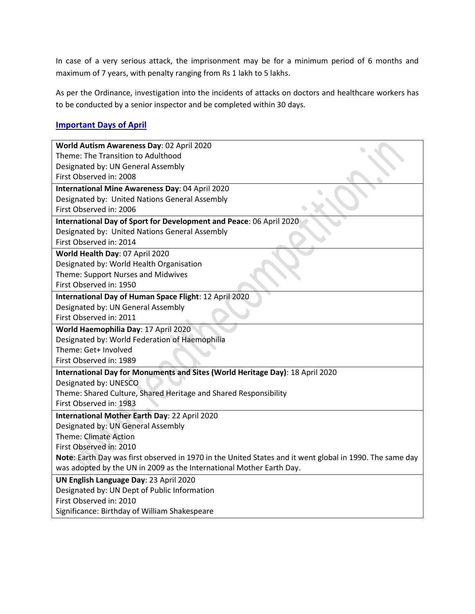In case of a very serious attack, the imprisonment may be for a minimum period of 6 months and maximum of 7 years, with penalty ranging from Rs 1 lakh to 5 lakhs.

As per the Ordinance, investigation into the incidents of attacks on doctors and healthcare workers has to be conducted by a senior inspector and be completed within 30 days.

# **Important Days of April**

| World Autism Awareness Day: 02 April 2020                                                                |  |  |  |  |
|----------------------------------------------------------------------------------------------------------|--|--|--|--|
| Theme: The Transition to Adulthood                                                                       |  |  |  |  |
| Designated by: UN General Assembly                                                                       |  |  |  |  |
| First Observed in: 2008                                                                                  |  |  |  |  |
| International Mine Awareness Day: 04 April 2020                                                          |  |  |  |  |
| Designated by: United Nations General Assembly                                                           |  |  |  |  |
| First Observed in: 2006                                                                                  |  |  |  |  |
| International Day of Sport for Development and Peace: 06 April 2020                                      |  |  |  |  |
| Designated by: United Nations General Assembly                                                           |  |  |  |  |
| First Observed in: 2014                                                                                  |  |  |  |  |
| World Health Day: 07 April 2020                                                                          |  |  |  |  |
| Designated by: World Health Organisation                                                                 |  |  |  |  |
| Theme: Support Nurses and Midwives                                                                       |  |  |  |  |
| First Observed in: 1950                                                                                  |  |  |  |  |
| International Day of Human Space Flight: 12 April 2020                                                   |  |  |  |  |
| Designated by: UN General Assembly                                                                       |  |  |  |  |
| First Observed in: 2011                                                                                  |  |  |  |  |
| World Haemophilia Day: 17 April 2020                                                                     |  |  |  |  |
| Designated by: World Federation of Haemophilia                                                           |  |  |  |  |
| Theme: Get+ Involved                                                                                     |  |  |  |  |
| First Observed in: 1989                                                                                  |  |  |  |  |
| International Day for Monuments and Sites (World Heritage Day): 18 April 2020                            |  |  |  |  |
| Designated by: UNESCO                                                                                    |  |  |  |  |
| Theme: Shared Culture, Shared Heritage and Shared Responsibility                                         |  |  |  |  |
| First Observed in: 1983                                                                                  |  |  |  |  |
| International Mother Earth Day: 22 April 2020                                                            |  |  |  |  |
| Designated by: UN General Assembly                                                                       |  |  |  |  |
| <b>Theme: Climate Action</b>                                                                             |  |  |  |  |
| First Observed in: 2010                                                                                  |  |  |  |  |
| Note: Earth Day was first observed in 1970 in the United States and it went global in 1990. The same day |  |  |  |  |
| was adopted by the UN in 2009 as the International Mother Earth Day.                                     |  |  |  |  |
| UN English Language Day: 23 April 2020                                                                   |  |  |  |  |
| Designated by: UN Dept of Public Information                                                             |  |  |  |  |
| First Observed in: 2010                                                                                  |  |  |  |  |
| Significance: Birthday of William Shakespeare                                                            |  |  |  |  |